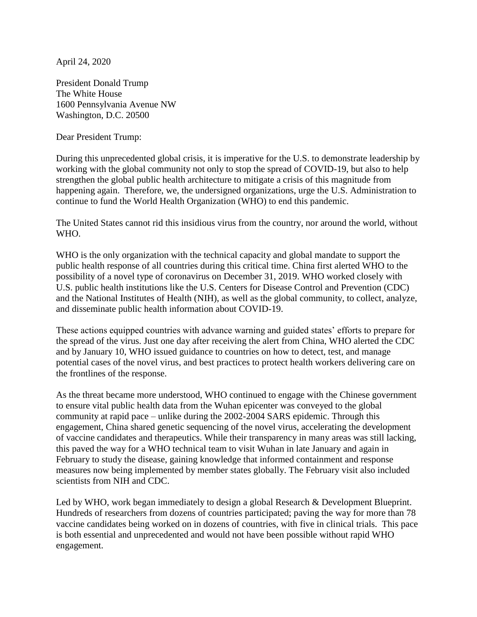April 24, 2020

President Donald Trump The White House 1600 Pennsylvania Avenue NW Washington, D.C. 20500

Dear President Trump:

During this unprecedented global crisis, it is imperative for the U.S. to demonstrate leadership by working with the global community not only to stop the spread of COVID-19, but also to help strengthen the global public health architecture to mitigate a crisis of this magnitude from happening again. Therefore, we, the undersigned organizations, urge the U.S. Administration to continue to fund the World Health Organization (WHO) to end this pandemic.

The United States cannot rid this insidious virus from the country, nor around the world, without WHO.

WHO is the only organization with the technical capacity and global mandate to support the public health response of all countries during this critical time. China first alerted WHO to the possibility of a novel type of coronavirus on December 31, 2019. WHO worked closely with U.S. public health institutions like the U.S. Centers for Disease Control and Prevention (CDC) and the National Institutes of Health (NIH), as well as the global community, to collect, analyze, and disseminate public health information about COVID-19.

These actions equipped countries with advance warning and guided states' efforts to prepare for the spread of the virus. Just one day after receiving the alert from China, WHO alerted the CDC and by January 10, WHO issued guidance to countries on how to detect, test, and manage potential cases of the novel virus, and best practices to protect health workers delivering care on the frontlines of the response.

As the threat became more understood, WHO continued to engage with the Chinese government to ensure vital public health data from the Wuhan epicenter was conveyed to the global community at rapid pace – unlike during the 2002-2004 SARS epidemic. Through this engagement, China shared genetic sequencing of the novel virus, accelerating the development of vaccine candidates and therapeutics. While their transparency in many areas was still lacking, this paved the way for a WHO technical team to visit Wuhan in late January and again in February to study the disease, gaining knowledge that informed containment and response measures now being implemented by member states globally. The February visit also included scientists from NIH and CDC.

Led by WHO, work began immediately to design a global Research & Development Blueprint. Hundreds of researchers from dozens of countries participated; paving the way for more than 78 vaccine candidates being worked on in dozens of countries, with five in clinical trials. This pace is both essential and unprecedented and would not have been possible without rapid WHO engagement.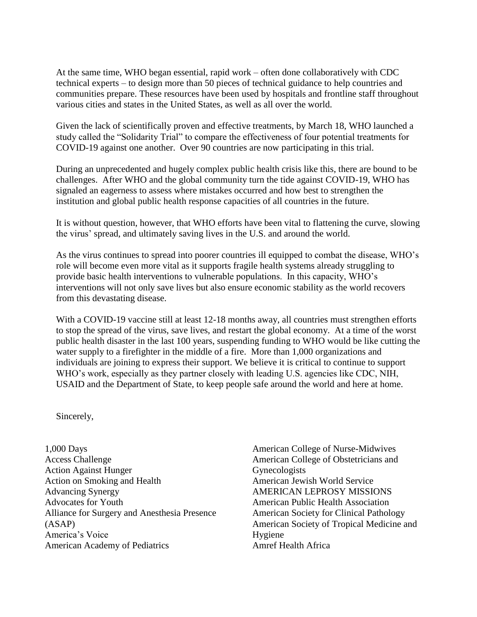At the same time, WHO began essential, rapid work – often done collaboratively with CDC technical experts – to design more than 50 pieces of technical guidance to help countries and communities prepare. These resources have been used by hospitals and frontline staff throughout various cities and states in the United States, as well as all over the world.

Given the lack of scientifically proven and effective treatments, by March 18, WHO launched a study called the "Solidarity Trial" to compare the effectiveness of four potential treatments for COVID-19 against one another. Over 90 countries are now participating in this trial.

During an unprecedented and hugely complex public health crisis like this, there are bound to be challenges. After WHO and the global community turn the tide against COVID-19, WHO has signaled an eagerness to assess where mistakes occurred and how best to strengthen the institution and global public health response capacities of all countries in the future.

It is without question, however, that WHO efforts have been vital to flattening the curve, slowing the virus' spread, and ultimately saving lives in the U.S. and around the world.

As the virus continues to spread into poorer countries ill equipped to combat the disease, WHO's role will become even more vital as it supports fragile health systems already struggling to provide basic health interventions to vulnerable populations. In this capacity, WHO's interventions will not only save lives but also ensure economic stability as the world recovers from this devastating disease.

With a COVID-19 vaccine still at least 12-18 months away, all countries must strengthen efforts to stop the spread of the virus, save lives, and restart the global economy. At a time of the worst public health disaster in the last 100 years, suspending funding to WHO would be like cutting the water supply to a firefighter in the middle of a fire. More than 1,000 organizations and individuals are joining to express their support. We believe it is critical to continue to support WHO's work, especially as they partner closely with leading U.S. agencies like CDC, NIH, USAID and the Department of State, to keep people safe around the world and here at home.

Sincerely,

1,000 Days Access Challenge Action Against Hunger Action on Smoking and Health Advancing Synergy Advocates for Youth Alliance for Surgery and Anesthesia Presence (ASAP) America's Voice American Academy of Pediatrics

American College of Nurse-Midwives American College of Obstetricians and Gynecologists American Jewish World Service AMERICAN LEPROSY MISSIONS American Public Health Association American Society for Clinical Pathology American Society of Tropical Medicine and Hygiene Amref Health Africa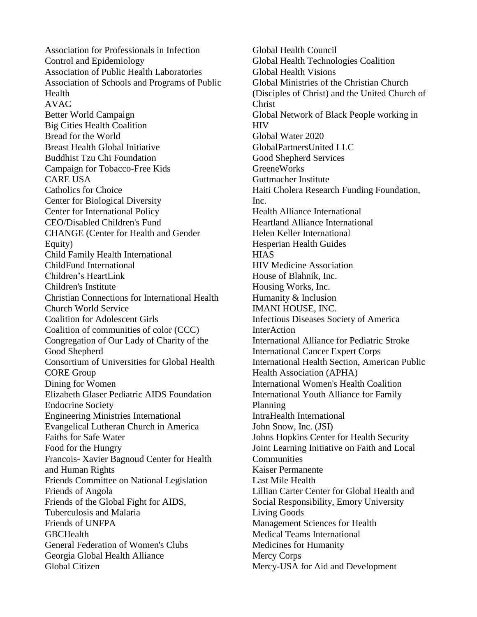Association for Professionals in Infection Control and Epidemiology Association of Public Health Laboratories Association of Schools and Programs of Public Health AVAC Better World Campaign Big Cities Health Coalition Bread for the World Breast Health Global Initiative Buddhist Tzu Chi Foundation Campaign for Tobacco-Free Kids CARE USA Catholics for Choice Center for Biological Diversity Center for International Policy CEO/Disabled Children's Fund CHANGE (Center for Health and Gender Equity) Child Family Health International ChildFund International Children's HeartLink Children's Institute Christian Connections for International Health Church World Service Coalition for Adolescent Girls Coalition of communities of color (CCC) Congregation of Our Lady of Charity of the Good Shepherd Consortium of Universities for Global Health CORE Group Dining for Women Elizabeth Glaser Pediatric AIDS Foundation Endocrine Society Engineering Ministries International Evangelical Lutheran Church in America Faiths for Safe Water Food for the Hungry Francois- Xavier Bagnoud Center for Health and Human Rights Friends Committee on National Legislation Friends of Angola Friends of the Global Fight for AIDS, Tuberculosis and Malaria Friends of UNFPA **GBCHealth** General Federation of Women's Clubs Georgia Global Health Alliance Global Citizen

Global Health Council Global Health Technologies Coalition Global Health Visions Global Ministries of the Christian Church (Disciples of Christ) and the United Church of Christ Global Network of Black People working in HIV Global Water 2020 GlobalPartnersUnited LLC Good Shepherd Services **GreeneWorks** Guttmacher Institute Haiti Cholera Research Funding Foundation, Inc. Health Alliance International Heartland Alliance International Helen Keller International Hesperian Health Guides **HIAS** HIV Medicine Association House of Blahnik, Inc. Housing Works, Inc. Humanity & Inclusion IMANI HOUSE, INC. Infectious Diseases Society of America InterAction International Alliance for Pediatric Stroke International Cancer Expert Corps International Health Section, American Public Health Association (APHA) International Women's Health Coalition International Youth Alliance for Family Planning IntraHealth International John Snow, Inc. (JSI) Johns Hopkins Center for Health Security Joint Learning Initiative on Faith and Local **Communities** Kaiser Permanente Last Mile Health Lillian Carter Center for Global Health and Social Responsibility, Emory University Living Goods Management Sciences for Health Medical Teams International Medicines for Humanity Mercy Corps Mercy-USA for Aid and Development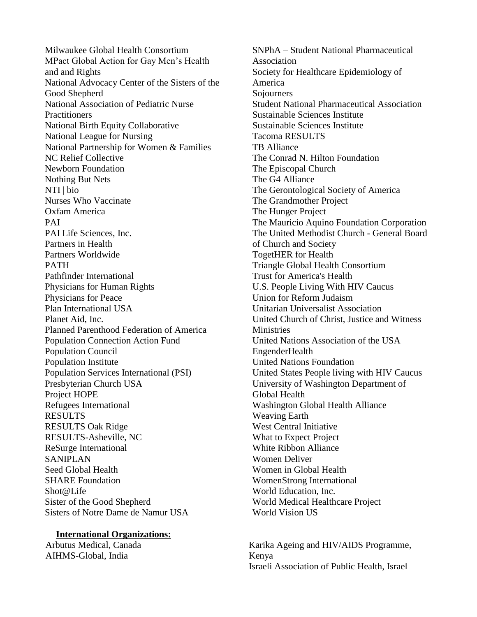Milwaukee Global Health Consortium MPact Global Action for Gay Men's Health and and Rights National Advocacy Center of the Sisters of the Good Shepherd National Association of Pediatric Nurse **Practitioners** National Birth Equity Collaborative National League for Nursing National Partnership for Women & Families NC Relief Collective Newborn Foundation Nothing But Nets NTI | bio Nurses Who Vaccinate Oxfam America PAI PAI Life Sciences, Inc. Partners in Health Partners Worldwide PATH Pathfinder International Physicians for Human Rights Physicians for Peace Plan International USA Planet Aid, Inc. Planned Parenthood Federation of America Population Connection Action Fund Population Council Population Institute Population Services International (PSI) Presbyterian Church USA Project HOPE Refugees International RESULTS RESULTS Oak Ridge RESULTS-Asheville, NC ReSurge International SANIPLAN Seed Global Health SHARE Foundation Shot@Life Sister of the Good Shepherd Sisters of Notre Dame de Namur USA

## **International Organizations:**

Arbutus Medical, Canada AIHMS-Global, India

SNPhA – Student National Pharmaceutical Association Society for Healthcare Epidemiology of America **Sojourners** Student National Pharmaceutical Association Sustainable Sciences Institute Sustainable Sciences Institute Tacoma RESULTS TB Alliance The Conrad N. Hilton Foundation The Episcopal Church The G4 Alliance The Gerontological Society of America The Grandmother Project The Hunger Project The Mauricio Aquino Foundation Corporation The United Methodist Church - General Board of Church and Society TogetHER for Health Triangle Global Health Consortium Trust for America's Health U.S. People Living With HIV Caucus Union for Reform Judaism Unitarian Universalist Association United Church of Christ, Justice and Witness **Ministries** United Nations Association of the USA EngenderHealth United Nations Foundation United States People living with HIV Caucus University of Washington Department of Global Health Washington Global Health Alliance Weaving Earth West Central Initiative What to Expect Project White Ribbon Alliance Women Deliver Women in Global Health WomenStrong International World Education, Inc. World Medical Healthcare Project World Vision US

Karika Ageing and HIV/AIDS Programme, Kenya Israeli Association of Public Health, Israel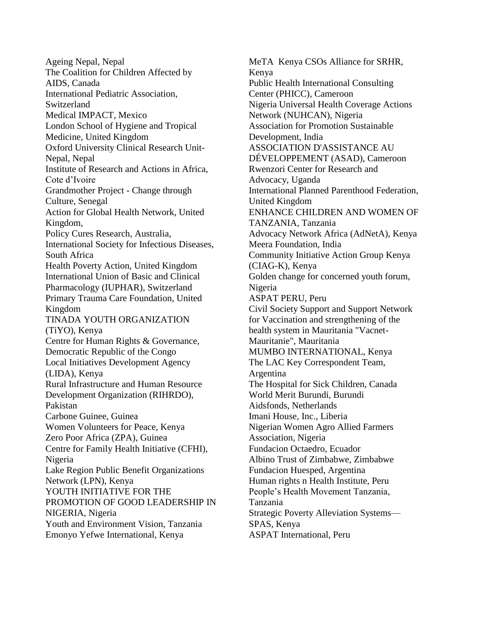Ageing Nepal, Nepal The Coalition for Children Affected by AIDS, Canada International Pediatric Association, Switzerland Medical IMPACT, Mexico London School of Hygiene and Tropical Medicine, United Kingdom Oxford University Clinical Research Unit-Nepal, Nepal Institute of Research and Actions in Africa, Cote d'Ivoire Grandmother Project - Change through Culture, Senegal Action for Global Health Network, United Kingdom, Policy Cures Research, Australia, International Society for Infectious Diseases, South Africa Health Poverty Action, United Kingdom International Union of Basic and Clinical Pharmacology (IUPHAR), Switzerland Primary Trauma Care Foundation, United Kingdom TINADA YOUTH ORGANIZATION (TiYO), Kenya Centre for Human Rights & Governance, Democratic Republic of the Congo Local Initiatives Development Agency (LIDA), Kenya Rural Infrastructure and Human Resource Development Organization (RIHRDO), Pakistan Carbone Guinee, Guinea Women Volunteers for Peace, Kenya Zero Poor Africa (ZPA), Guinea Centre for Family Health Initiative (CFHI), Nigeria Lake Region Public Benefit Organizations Network (LPN), Kenya YOUTH INITIATIVE FOR THE PROMOTION OF GOOD LEADERSHIP IN NIGERIA, Nigeria Youth and Environment Vision, Tanzania Emonyo Yefwe International, Kenya

MeTA Kenya CSOs Alliance for SRHR, Kenya Public Health International Consulting Center (PHICC), Cameroon Nigeria Universal Health Coverage Actions Network (NUHCAN), Nigeria Association for Promotion Sustainable Development, India ASSOCIATION D'ASSISTANCE AU DÉVELOPPEMENT (ASAD), Cameroon Rwenzori Center for Research and Advocacy, Uganda International Planned Parenthood Federation, United Kingdom ENHANCE CHILDREN AND WOMEN OF TANZANIA, Tanzania Advocacy Network Africa (AdNetA), Kenya Meera Foundation, India Community Initiative Action Group Kenya (CIAG-K), Kenya Golden change for concerned youth forum, Nigeria ASPAT PERU, Peru Civil Society Support and Support Network for Vaccination and strengthening of the health system in Mauritania "Vacnet-Mauritanie", Mauritania MUMBO INTERNATIONAL, Kenya The LAC Key Correspondent Team, Argentina The Hospital for Sick Children, Canada World Merit Burundi, Burundi Aidsfonds, Netherlands Imani House, Inc., Liberia Nigerian Women Agro Allied Farmers Association, Nigeria Fundacion Octaedro, Ecuador Albino Trust of Zimbabwe, Zimbabwe Fundacion Huesped, Argentina Human rights n Health Institute, Peru People's Health Movement Tanzania, Tanzania Strategic Poverty Alleviation Systems— SPAS, Kenya ASPAT International, Peru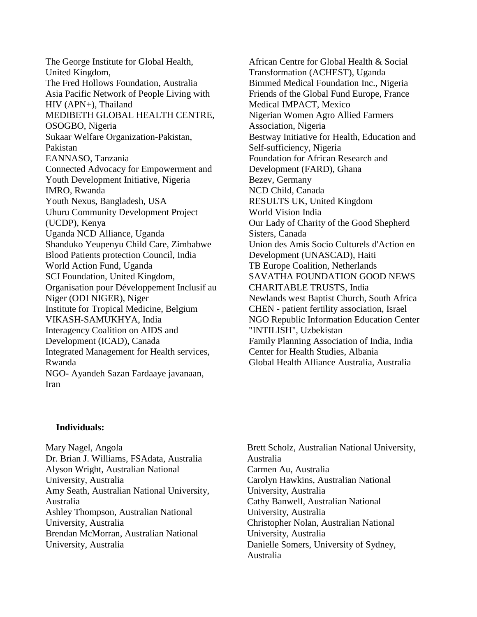The George Institute for Global Health, United Kingdom, The Fred Hollows Foundation, Australia Asia Pacific Network of People Living with HIV (APN+), Thailand MEDIBETH GLOBAL HEALTH CENTRE, OSOGBO, Nigeria Sukaar Welfare Organization-Pakistan, Pakistan EANNASO, Tanzania Connected Advocacy for Empowerment and Youth Development Initiative, Nigeria IMRO, Rwanda Youth Nexus, Bangladesh, USA Uhuru Community Development Project (UCDP), Kenya Uganda NCD Alliance, Uganda Shanduko Yeupenyu Child Care, Zimbabwe Blood Patients protection Council, India World Action Fund, Uganda SCI Foundation, United Kingdom, Organisation pour Développement Inclusif au Niger (ODI NIGER), Niger Institute for Tropical Medicine, Belgium VIKASH-SAMUKHYA, India Interagency Coalition on AIDS and Development (ICAD), Canada Integrated Management for Health services, Rwanda NGO- Ayandeh Sazan Fardaaye javanaan, Iran

African Centre for Global Health & Social Transformation (ACHEST), Uganda Bimmed Medical Foundation Inc., Nigeria Friends of the Global Fund Europe, France Medical IMPACT, Mexico Nigerian Women Agro Allied Farmers Association, Nigeria Bestway Initiative for Health, Education and Self-sufficiency, Nigeria Foundation for African Research and Development (FARD), Ghana Bezev, Germany NCD Child, Canada RESULTS UK, United Kingdom World Vision India Our Lady of Charity of the Good Shepherd Sisters, Canada Union des Amis Socio Culturels d'Action en Development (UNASCAD), Haiti TB Europe Coalition, Netherlands SAVATHA FOUNDATION GOOD NEWS CHARITABLE TRUSTS, India Newlands west Baptist Church, South Africa CHEN - patient fertility association, Israel NGO Republic Information Education Center "INTILISH", Uzbekistan Family Planning Association of India, India Center for Health Studies, Albania Global Health Alliance Australia, Australia

## **Individuals:**

Mary Nagel, Angola Dr. Brian J. Williams, FSAdata, Australia Alyson Wright, Australian National University, Australia Amy Seath, Australian National University, Australia Ashley Thompson, Australian National University, Australia Brendan McMorran, Australian National University, Australia

Brett Scholz, Australian National University, Australia Carmen Au, Australia Carolyn Hawkins, Australian National University, Australia Cathy Banwell, Australian National University, Australia Christopher Nolan, Australian National University, Australia Danielle Somers, University of Sydney, Australia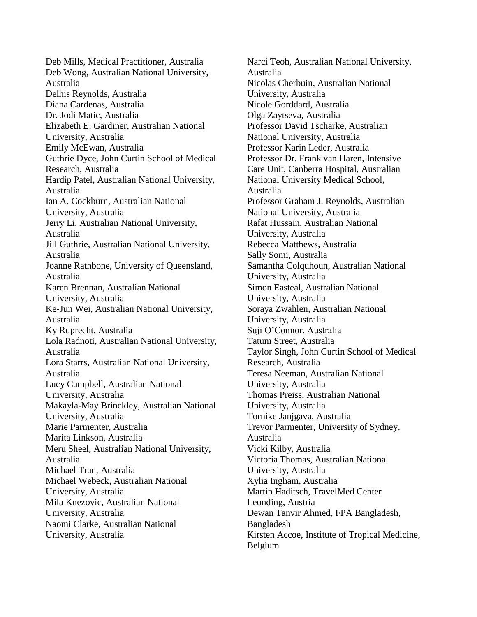Deb Mills, Medical Practitioner, Australia Deb Wong, Australian National University, Australia Delhis Reynolds, Australia Diana Cardenas, Australia Dr. Jodi Matic, Australia Elizabeth E. Gardiner, Australian National University, Australia Emily McEwan, Australia Guthrie Dyce, John Curtin School of Medical Research, Australia Hardip Patel, Australian National University, Australia Ian A. Cockburn, Australian National University, Australia Jerry Li, Australian National University, Australia Jill Guthrie, Australian National University, Australia Joanne Rathbone, University of Queensland, Australia Karen Brennan, Australian National University, Australia Ke-Jun Wei, Australian National University, Australia Ky Ruprecht, Australia Lola Radnoti, Australian National University, Australia Lora Starrs, Australian National University, Australia Lucy Campbell, Australian National University, Australia Makayla-May Brinckley, Australian National University, Australia Marie Parmenter, Australia Marita Linkson, Australia Meru Sheel, Australian National University, Australia Michael Tran, Australia Michael Webeck, Australian National University, Australia Mila Knezovic, Australian National University, Australia Naomi Clarke, Australian National University, Australia

Narci Teoh, Australian National University, Australia Nicolas Cherbuin, Australian National University, Australia Nicole Gorddard, Australia Olga Zaytseva, Australia Professor David Tscharke, Australian National University, Australia Professor Karin Leder, Australia Professor Dr. Frank van Haren, Intensive Care Unit, Canberra Hospital, Australian National University Medical School, Australia Professor Graham J. Reynolds, Australian National University, Australia Rafat Hussain, Australian National University, Australia Rebecca Matthews, Australia Sally Somi, Australia Samantha Colquhoun, Australian National University, Australia Simon Easteal, Australian National University, Australia Soraya Zwahlen, Australian National University, Australia Suji O'Connor, Australia Tatum Street, Australia Taylor Singh, John Curtin School of Medical Research, Australia Teresa Neeman, Australian National University, Australia Thomas Preiss, Australian National University, Australia Tornike Janjgava, Australia Trevor Parmenter, University of Sydney, Australia Vicki Kilby, Australia Victoria Thomas, Australian National University, Australia Xylia Ingham, Australia Martin Haditsch, TravelMed Center Leonding, Austria Dewan Tanvir Ahmed, FPA Bangladesh, Bangladesh Kirsten Accoe, Institute of Tropical Medicine, Belgium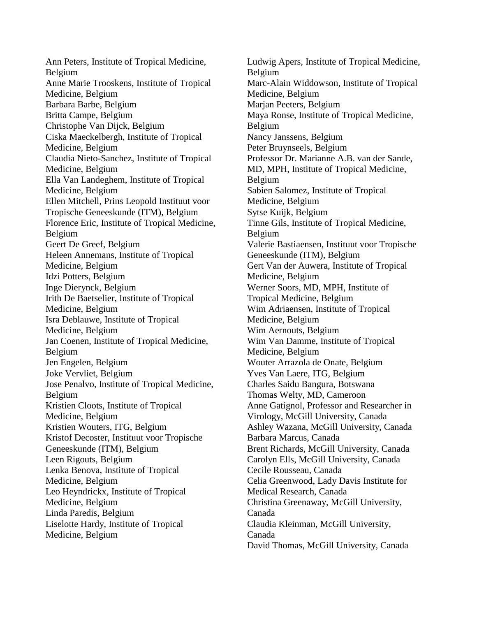Ann Peters, Institute of Tropical Medicine, Belgium Anne Marie Trooskens, Institute of Tropical Medicine, Belgium Barbara Barbe, Belgium Britta Campe, Belgium Christophe Van Dijck, Belgium Ciska Maeckelbergh, Institute of Tropical Medicine, Belgium Claudia Nieto-Sanchez, Institute of Tropical Medicine, Belgium Ella Van Landeghem, Institute of Tropical Medicine, Belgium Ellen Mitchell, Prins Leopold Instituut voor Tropische Geneeskunde (ITM), Belgium Florence Eric, Institute of Tropical Medicine, Belgium Geert De Greef, Belgium Heleen Annemans, Institute of Tropical Medicine, Belgium Idzi Potters, Belgium Inge Dierynck, Belgium Irith De Baetselier, Institute of Tropical Medicine, Belgium Isra Deblauwe, Institute of Tropical Medicine, Belgium Jan Coenen, Institute of Tropical Medicine, Belgium Jen Engelen, Belgium Joke Vervliet, Belgium Jose Penalvo, Institute of Tropical Medicine, Belgium Kristien Cloots, Institute of Tropical Medicine, Belgium Kristien Wouters, ITG, Belgium Kristof Decoster, Instituut voor Tropische Geneeskunde (ITM), Belgium Leen Rigouts, Belgium Lenka Benova, Institute of Tropical Medicine, Belgium Leo Heyndrickx, Institute of Tropical Medicine, Belgium Linda Paredis, Belgium Liselotte Hardy, Institute of Tropical Medicine, Belgium

Ludwig Apers, Institute of Tropical Medicine, Belgium Marc-Alain Widdowson, Institute of Tropical Medicine, Belgium Marjan Peeters, Belgium Maya Ronse, Institute of Tropical Medicine, Belgium Nancy Janssens, Belgium Peter Bruynseels, Belgium Professor Dr. Marianne A.B. van der Sande, MD, MPH, Institute of Tropical Medicine, Belgium Sabien Salomez, Institute of Tropical Medicine, Belgium Sytse Kuijk, Belgium Tinne Gils, Institute of Tropical Medicine, Belgium Valerie Bastiaensen, Instituut voor Tropische Geneeskunde (ITM), Belgium Gert Van der Auwera, Institute of Tropical Medicine, Belgium Werner Soors, MD, MPH, Institute of Tropical Medicine, Belgium Wim Adriaensen, Institute of Tropical Medicine, Belgium Wim Aernouts, Belgium Wim Van Damme, Institute of Tropical Medicine, Belgium Wouter Arrazola de Onate, Belgium Yves Van Laere, ITG, Belgium Charles Saidu Bangura, Botswana Thomas Welty, MD, Cameroon Anne Gatignol, Professor and Researcher in Virology, McGill University, Canada Ashley Wazana, McGill University, Canada Barbara Marcus, Canada Brent Richards, McGill University, Canada Carolyn Ells, McGill University, Canada Cecile Rousseau, Canada Celia Greenwood, Lady Davis Institute for Medical Research, Canada Christina Greenaway, McGill University, Canada Claudia Kleinman, McGill University, Canada David Thomas, McGill University, Canada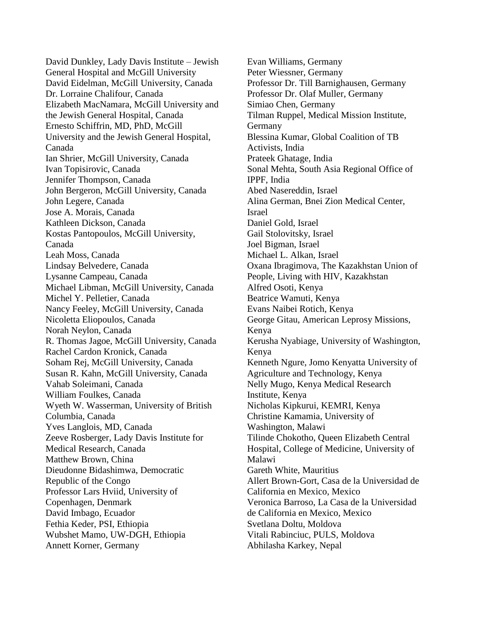David Dunkley, Lady Davis Institute – Jewish General Hospital and McGill University David Eidelman, McGill University, Canada Dr. Lorraine Chalifour, Canada Elizabeth MacNamara, McGill University and the Jewish General Hospital, Canada Ernesto Schiffrin, MD, PhD, McGill University and the Jewish General Hospital, Canada Ian Shrier, McGill University, Canada Ivan Topisirovic, Canada Jennifer Thompson, Canada John Bergeron, McGill University, Canada John Legere, Canada Jose A. Morais, Canada Kathleen Dickson, Canada Kostas Pantopoulos, McGill University, Canada Leah Moss, Canada Lindsay Belvedere, Canada Lysanne Campeau, Canada Michael Libman, McGill University, Canada Michel Y. Pelletier, Canada Nancy Feeley, McGill University, Canada Nicoletta Eliopoulos, Canada Norah Neylon, Canada R. Thomas Jagoe, McGill University, Canada Rachel Cardon Kronick, Canada Soham Rej, McGill University, Canada Susan R. Kahn, McGill University, Canada Vahab Soleimani, Canada William Foulkes, Canada Wyeth W. Wasserman, University of British Columbia, Canada Yves Langlois, MD, Canada Zeeve Rosberger, Lady Davis Institute for Medical Research, Canada Matthew Brown, China Dieudonne Bidashimwa, Democratic Republic of the Congo Professor Lars Hviid, University of Copenhagen, Denmark David Imbago, Ecuador Fethia Keder, PSI, Ethiopia Wubshet Mamo, UW-DGH, Ethiopia Annett Korner, Germany

Evan Williams, Germany Peter Wiessner, Germany Professor Dr. Till Barnighausen, Germany Professor Dr. Olaf Muller, Germany Simiao Chen, Germany Tilman Ruppel, Medical Mission Institute, Germany Blessina Kumar, Global Coalition of TB Activists, India Prateek Ghatage, India Sonal Mehta, South Asia Regional Office of IPPF, India Abed Nasereddin, Israel Alina German, Bnei Zion Medical Center, Israel Daniel Gold, Israel Gail Stolovitsky, Israel Joel Bigman, Israel Michael L. Alkan, Israel Oxana Ibragimova, The Kazakhstan Union of People, Living with HIV, Kazakhstan Alfred Osoti, Kenya Beatrice Wamuti, Kenya Evans Naibei Rotich, Kenya George Gitau, American Leprosy Missions, Kenya Kerusha Nyabiage, University of Washington, Kenya Kenneth Ngure, Jomo Kenyatta University of Agriculture and Technology, Kenya Nelly Mugo, Kenya Medical Research Institute, Kenya Nicholas Kipkurui, KEMRI, Kenya Christine Kamamia, University of Washington, Malawi Tilinde Chokotho, Queen Elizabeth Central Hospital, College of Medicine, University of Malawi Gareth White, Mauritius Allert Brown-Gort, Casa de la Universidad de California en Mexico, Mexico Veronica Barroso, La Casa de la Universidad de California en Mexico, Mexico Svetlana Doltu, Moldova Vitali Rabinciuc, PULS, Moldova Abhilasha Karkey, Nepal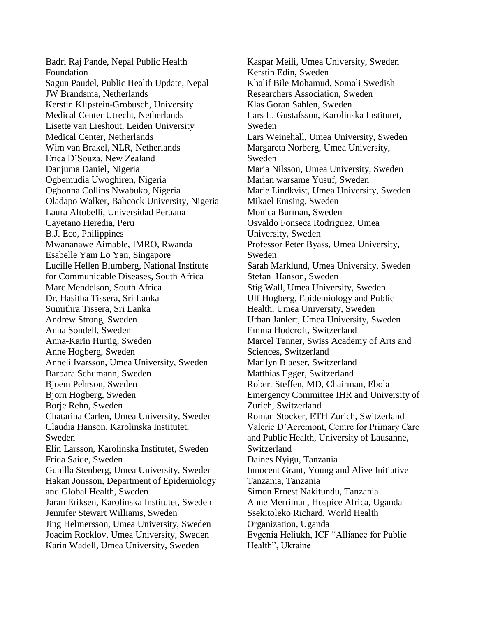Badri Raj Pande, Nepal Public Health Foundation Sagun Paudel, Public Health Update, Nepal JW Brandsma, Netherlands Kerstin Klipstein-Grobusch, University Medical Center Utrecht, Netherlands Lisette van Lieshout, Leiden University Medical Center, Netherlands Wim van Brakel, NLR, Netherlands Erica D'Souza, New Zealand Danjuma Daniel, Nigeria Ogbemudia Uwoghiren, Nigeria Ogbonna Collins Nwabuko, Nigeria Oladapo Walker, Babcock University, Nigeria Laura Altobelli, Universidad Peruana Cayetano Heredia, Peru B.J. Eco, Philippines Mwananawe Aimable, IMRO, Rwanda Esabelle Yam Lo Yan, Singapore Lucille Hellen Blumberg, National Institute for Communicable Diseases, South Africa Marc Mendelson, South Africa Dr. Hasitha Tissera, Sri Lanka Sumithra Tissera, Sri Lanka Andrew Strong, Sweden Anna Sondell, Sweden Anna-Karin Hurtig, Sweden Anne Hogberg, Sweden Anneli Ivarsson, Umea University, Sweden Barbara Schumann, Sweden Bjoem Pehrson, Sweden Bjorn Hogberg, Sweden Borje Rehn, Sweden Chatarina Carlen, Umea University, Sweden Claudia Hanson, Karolinska Institutet, Sweden Elin Larsson, Karolinska Institutet, Sweden Frida Saide, Sweden Gunilla Stenberg, Umea University, Sweden Hakan Jonsson, Department of Epidemiology and Global Health, Sweden Jaran Eriksen, Karolinska Institutet, Sweden Jennifer Stewart Williams, Sweden Jing Helmersson, Umea University, Sweden Joacim Rocklov, Umea University, Sweden Karin Wadell, Umea University, Sweden

Kaspar Meili, Umea University, Sweden Kerstin Edin, Sweden Khalif Bile Mohamud, Somali Swedish Researchers Association, Sweden Klas Goran Sahlen, Sweden Lars L. Gustafsson, Karolinska Institutet, Sweden Lars Weinehall, Umea University, Sweden Margareta Norberg, Umea University, Sweden Maria Nilsson, Umea University, Sweden Marian warsame Yusuf, Sweden Marie Lindkvist, Umea University, Sweden Mikael Emsing, Sweden Monica Burman, Sweden Osvaldo Fonseca Rodriguez, Umea University, Sweden Professor Peter Byass, Umea University, Sweden Sarah Marklund, Umea University, Sweden Stefan Hanson, Sweden Stig Wall, Umea University, Sweden Ulf Hogberg, Epidemiology and Public Health, Umea University, Sweden Urban Janlert, Umea University, Sweden Emma Hodcroft, Switzerland Marcel Tanner, Swiss Academy of Arts and Sciences, Switzerland Marilyn Blaeser, Switzerland Matthias Egger, Switzerland Robert Steffen, MD, Chairman, Ebola Emergency Committee IHR and University of Zurich, Switzerland Roman Stocker, ETH Zurich, Switzerland Valerie D'Acremont, Centre for Primary Care and Public Health, University of Lausanne, Switzerland Daines Nyigu, Tanzania Innocent Grant, Young and Alive Initiative Tanzania, Tanzania Simon Ernest Nakitundu, Tanzania Anne Merriman, Hospice Africa, Uganda Ssekitoleko Richard, World Health Organization, Uganda Evgenia Heliukh, ICF "Alliance for Public Health", Ukraine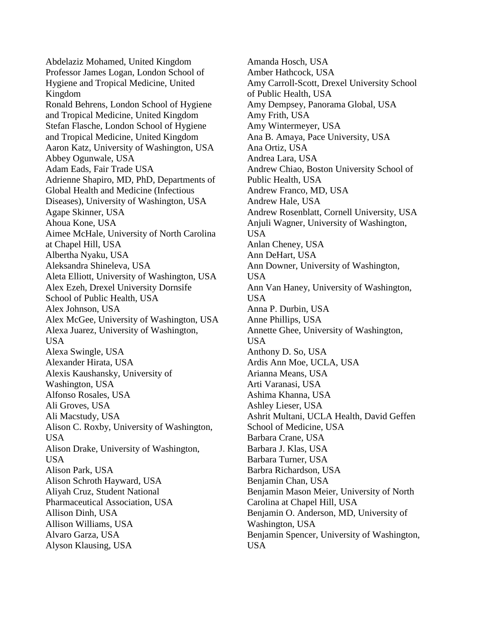Abdelaziz Mohamed, United Kingdom Professor James Logan, London School of Hygiene and Tropical Medicine, United Kingdom Ronald Behrens, London School of Hygiene and Tropical Medicine, United Kingdom Stefan Flasche, London School of Hygiene and Tropical Medicine, United Kingdom Aaron Katz, University of Washington, USA Abbey Ogunwale, USA Adam Eads, Fair Trade USA Adrienne Shapiro, MD, PhD, Departments of Global Health and Medicine (Infectious Diseases), University of Washington, USA Agape Skinner, USA Ahoua Kone, USA Aimee McHale, University of North Carolina at Chapel Hill, USA Albertha Nyaku, USA Aleksandra Shineleva, USA Aleta Elliott, University of Washington, USA Alex Ezeh, Drexel University Dornsife School of Public Health, USA Alex Johnson, USA Alex McGee, University of Washington, USA Alexa Juarez, University of Washington, USA Alexa Swingle, USA Alexander Hirata, USA Alexis Kaushansky, University of Washington, USA Alfonso Rosales, USA Ali Groves, USA Ali Macstudy, USA Alison C. Roxby, University of Washington, USA Alison Drake, University of Washington, USA Alison Park, USA Alison Schroth Hayward, USA Aliyah Cruz, Student National Pharmaceutical Association, USA Allison Dinh, USA Allison Williams, USA Alvaro Garza, USA Alyson Klausing, USA

Amanda Hosch, USA Amber Hathcock, USA Amy Carroll-Scott, Drexel University School of Public Health, USA Amy Dempsey, Panorama Global, USA Amy Frith, USA Amy Wintermeyer, USA Ana B. Amaya, Pace University, USA Ana Ortiz, USA Andrea Lara, USA Andrew Chiao, Boston University School of Public Health, USA Andrew Franco, MD, USA Andrew Hale, USA Andrew Rosenblatt, Cornell University, USA Anjuli Wagner, University of Washington, USA Anlan Cheney, USA Ann DeHart, USA Ann Downer, University of Washington, USA Ann Van Haney, University of Washington, USA Anna P. Durbin, USA Anne Phillips, USA Annette Ghee, University of Washington, USA Anthony D. So, USA Ardis Ann Moe, UCLA, USA Arianna Means, USA Arti Varanasi, USA Ashima Khanna, USA Ashley Lieser, USA Ashrit Multani, UCLA Health, David Geffen School of Medicine, USA Barbara Crane, USA Barbara J. Klas, USA Barbara Turner, USA Barbra Richardson, USA Benjamin Chan, USA Benjamin Mason Meier, University of North Carolina at Chapel Hill, USA Benjamin O. Anderson, MD, University of Washington, USA Benjamin Spencer, University of Washington, USA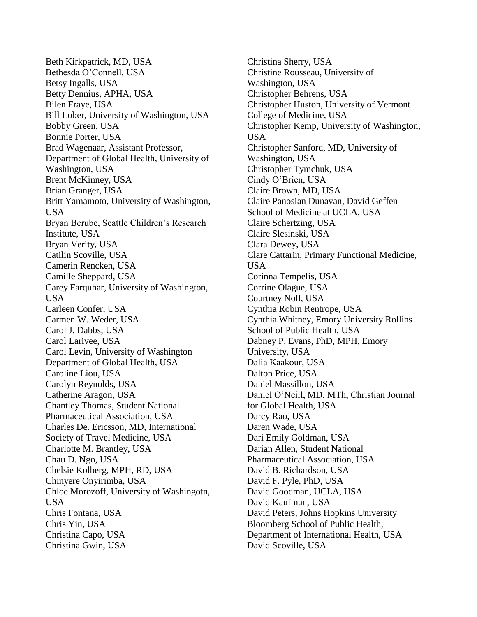Beth Kirkpatrick, MD, USA Bethesda O'Connell, USA Betsy Ingalls, USA Betty Dennius, APHA, USA Bilen Fraye, USA Bill Lober, University of Washington, USA Bobby Green, USA Bonnie Porter, USA Brad Wagenaar, Assistant Professor, Department of Global Health, University of Washington, USA Brent McKinney, USA Brian Granger, USA Britt Yamamoto, University of Washington, USA Bryan Berube, Seattle Children's Research Institute, USA Bryan Verity, USA Catilin Scoville, USA Camerin Rencken, USA Camille Sheppard, USA Carey Farquhar, University of Washington, USA Carleen Confer, USA Carmen W. Weder, USA Carol J. Dabbs, USA Carol Larivee, USA Carol Levin, University of Washington Department of Global Health, USA Caroline Liou, USA Carolyn Reynolds, USA Catherine Aragon, USA Chantley Thomas, Student National Pharmaceutical Association, USA Charles De. Ericsson, MD, International Society of Travel Medicine, USA Charlotte M. Brantley, USA Chau D. Ngo, USA Chelsie Kolberg, MPH, RD, USA Chinyere Onyirimba, USA Chloe Morozoff, University of Washingotn, USA Chris Fontana, USA Chris Yin, USA Christina Capo, USA Christina Gwin, USA

Christina Sherry, USA Christine Rousseau, University of Washington, USA Christopher Behrens, USA Christopher Huston, University of Vermont College of Medicine, USA Christopher Kemp, University of Washington, USA Christopher Sanford, MD, University of Washington, USA Christopher Tymchuk, USA Cindy O'Brien, USA Claire Brown, MD, USA Claire Panosian Dunavan, David Geffen School of Medicine at UCLA, USA Claire Schertzing, USA Claire Slesinski, USA Clara Dewey, USA Clare Cattarin, Primary Functional Medicine, USA Corinna Tempelis, USA Corrine Olague, USA Courtney Noll, USA Cynthia Robin Rentrope, USA Cynthia Whitney, Emory University Rollins School of Public Health, USA Dabney P. Evans, PhD, MPH, Emory University, USA Dalia Kaakour, USA Dalton Price, USA Daniel Massillon, USA Daniel O'Neill, MD, MTh, Christian Journal for Global Health, USA Darcy Rao, USA Daren Wade, USA Dari Emily Goldman, USA Darian Allen, Student National Pharmaceutical Association, USA David B. Richardson, USA David F. Pyle, PhD, USA David Goodman, UCLA, USA David Kaufman, USA David Peters, Johns Hopkins University Bloomberg School of Public Health, Department of International Health, USA David Scoville, USA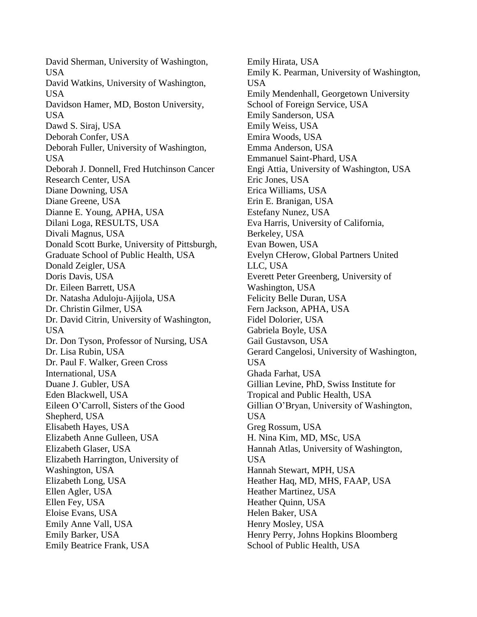David Sherman, University of Washington, USA David Watkins, University of Washington, USA Davidson Hamer, MD, Boston University, USA Dawd S. Siraj, USA Deborah Confer, USA Deborah Fuller, University of Washington, USA Deborah J. Donnell, Fred Hutchinson Cancer Research Center, USA Diane Downing, USA Diane Greene, USA Dianne E. Young, APHA, USA Dilani Loga, RESULTS, USA Divali Magnus, USA Donald Scott Burke, University of Pittsburgh, Graduate School of Public Health, USA Donald Zeigler, USA Doris Davis, USA Dr. Eileen Barrett, USA Dr. Natasha Aduloju-Ajijola, USA Dr. Christin Gilmer, USA Dr. David Citrin, University of Washington, USA Dr. Don Tyson, Professor of Nursing, USA Dr. Lisa Rubin, USA Dr. Paul F. Walker, Green Cross International, USA Duane J. Gubler, USA Eden Blackwell, USA Eileen O'Carroll, Sisters of the Good Shepherd, USA Elisabeth Hayes, USA Elizabeth Anne Gulleen, USA Elizabeth Glaser, USA Elizabeth Harrington, University of Washington, USA Elizabeth Long, USA Ellen Agler, USA Ellen Fey, USA Eloise Evans, USA Emily Anne Vall, USA Emily Barker, USA Emily Beatrice Frank, USA

Emily Hirata, USA Emily K. Pearman, University of Washington, USA Emily Mendenhall, Georgetown University School of Foreign Service, USA Emily Sanderson, USA Emily Weiss, USA Emira Woods, USA Emma Anderson, USA Emmanuel Saint-Phard, USA Engi Attia, University of Washington, USA Eric Jones, USA Erica Williams, USA Erin E. Branigan, USA Estefany Nunez, USA Eva Harris, University of California, Berkeley, USA Evan Bowen, USA Evelyn CHerow, Global Partners United LLC, USA Everett Peter Greenberg, University of Washington, USA Felicity Belle Duran, USA Fern Jackson, APHA, USA Fidel Dolorier, USA Gabriela Boyle, USA Gail Gustavson, USA Gerard Cangelosi, University of Washington, USA Ghada Farhat, USA Gillian Levine, PhD, Swiss Institute for Tropical and Public Health, USA Gillian O'Bryan, University of Washington, USA Greg Rossum, USA H. Nina Kim, MD, MSc, USA Hannah Atlas, University of Washington, USA Hannah Stewart, MPH, USA Heather Haq, MD, MHS, FAAP, USA Heather Martinez, USA Heather Quinn, USA Helen Baker, USA Henry Mosley, USA Henry Perry, Johns Hopkins Bloomberg School of Public Health, USA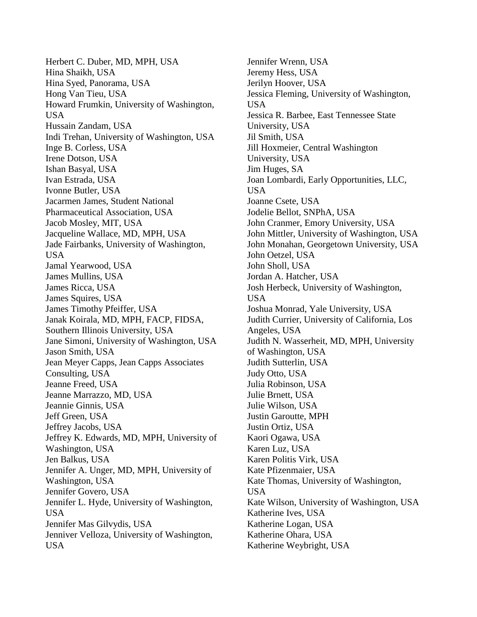Herbert C. Duber, MD, MPH, USA Hina Shaikh, USA Hina Syed, Panorama, USA Hong Van Tieu, USA Howard Frumkin, University of Washington, USA Hussain Zandam, USA Indi Trehan, University of Washington, USA Inge B. Corless, USA Irene Dotson, USA Ishan Basyal, USA Ivan Estrada, USA Ivonne Butler, USA Jacarmen James, Student National Pharmaceutical Association, USA Jacob Mosley, MIT, USA Jacqueline Wallace, MD, MPH, USA Jade Fairbanks, University of Washington, USA Jamal Yearwood, USA James Mullins, USA James Ricca, USA James Squires, USA James Timothy Pfeiffer, USA Janak Koirala, MD, MPH, FACP, FIDSA, Southern Illinois University, USA Jane Simoni, University of Washington, USA Jason Smith, USA Jean Meyer Capps, Jean Capps Associates Consulting, USA Jeanne Freed, USA Jeanne Marrazzo, MD, USA Jeannie Ginnis, USA Jeff Green, USA Jeffrey Jacobs, USA Jeffrey K. Edwards, MD, MPH, University of Washington, USA Jen Balkus, USA Jennifer A. Unger, MD, MPH, University of Washington, USA Jennifer Govero, USA Jennifer L. Hyde, University of Washington, USA Jennifer Mas Gilvydis, USA Jenniver Velloza, University of Washington, USA

Jennifer Wrenn, USA Jeremy Hess, USA Jerilyn Hoover, USA Jessica Fleming, University of Washington, USA Jessica R. Barbee, East Tennessee State University, USA Jil Smith, USA Jill Hoxmeier, Central Washington University, USA Jim Huges, SA Joan Lombardi, Early Opportunities, LLC, USA Joanne Csete, USA Jodelie Bellot, SNPhA, USA John Cranmer, Emory University, USA John Mittler, University of Washington, USA John Monahan, Georgetown University, USA John Oetzel, USA John Sholl, USA Jordan A. Hatcher, USA Josh Herbeck, University of Washington, USA Joshua Monrad, Yale University, USA Judith Currier, University of California, Los Angeles, USA Judith N. Wasserheit, MD, MPH, University of Washington, USA Judith Sutterlin, USA Judy Otto, USA Julia Robinson, USA Julie Brnett, USA Julie Wilson, USA Justin Garoutte, MPH Justin Ortiz, USA Kaori Ogawa, USA Karen Luz, USA Karen Politis Virk, USA Kate Pfizenmaier, USA Kate Thomas, University of Washington, USA Kate Wilson, University of Washington, USA Katherine Ives, USA Katherine Logan, USA Katherine Ohara, USA Katherine Weybright, USA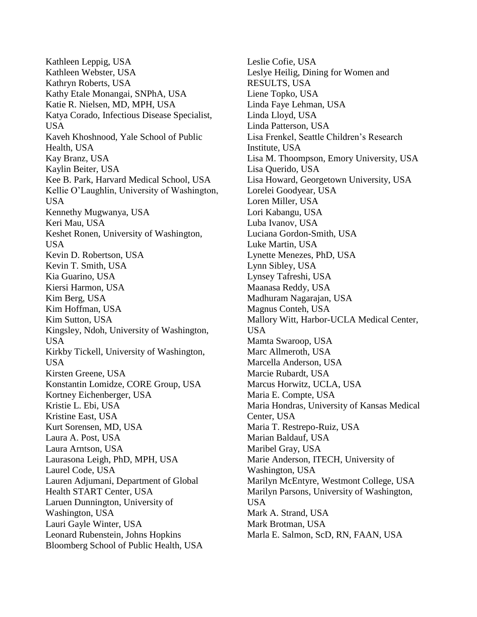Kathleen Leppig, USA Kathleen Webster, USA Kathryn Roberts, USA Kathy Etale Monangai, SNPhA, USA Katie R. Nielsen, MD, MPH, USA Katya Corado, Infectious Disease Specialist, USA Kaveh Khoshnood, Yale School of Public Health, USA Kay Branz, USA Kaylin Beiter, USA Kee B. Park, Harvard Medical School, USA Kellie O'Laughlin, University of Washington, USA Kennethy Mugwanya, USA Keri Mau, USA Keshet Ronen, University of Washington, USA Kevin D. Robertson, USA Kevin T. Smith, USA Kia Guarino, USA Kiersi Harmon, USA Kim Berg, USA Kim Hoffman, USA Kim Sutton, USA Kingsley, Ndoh, University of Washington, USA Kirkby Tickell, University of Washington, USA Kirsten Greene, USA Konstantin Lomidze, CORE Group, USA Kortney Eichenberger, USA Kristie L. Ebi, USA Kristine East, USA Kurt Sorensen, MD, USA Laura A. Post, USA Laura Arntson, USA Laurasona Leigh, PhD, MPH, USA Laurel Code, USA Lauren Adjumani, Department of Global Health START Center, USA Laruen Dunnington, University of Washington, USA Lauri Gayle Winter, USA Leonard Rubenstein, Johns Hopkins Bloomberg School of Public Health, USA

Leslie Cofie, USA Leslye Heilig, Dining for Women and RESULTS, USA Liene Topko, USA Linda Faye Lehman, USA Linda Lloyd, USA Linda Patterson, USA Lisa Frenkel, Seattle Children's Research Institute, USA Lisa M. Thoompson, Emory University, USA Lisa Querido, USA Lisa Howard, Georgetown University, USA Lorelei Goodyear, USA Loren Miller, USA Lori Kabangu, USA Luba Ivanov, USA Luciana Gordon-Smith, USA Luke Martin, USA Lynette Menezes, PhD, USA Lynn Sibley, USA Lynsey Tafreshi, USA Maanasa Reddy, USA Madhuram Nagarajan, USA Magnus Conteh, USA Mallory Witt, Harbor-UCLA Medical Center, USA Mamta Swaroop, USA Marc Allmeroth, USA Marcella Anderson, USA Marcie Rubardt, USA Marcus Horwitz, UCLA, USA Maria E. Compte, USA Maria Hondras, University of Kansas Medical Center, USA Maria T. Restrepo-Ruiz, USA Marian Baldauf, USA Maribel Gray, USA Marie Anderson, ITECH, University of Washington, USA Marilyn McEntyre, Westmont College, USA Marilyn Parsons, University of Washington, USA Mark A. Strand, USA Mark Brotman, USA Marla E. Salmon, ScD, RN, FAAN, USA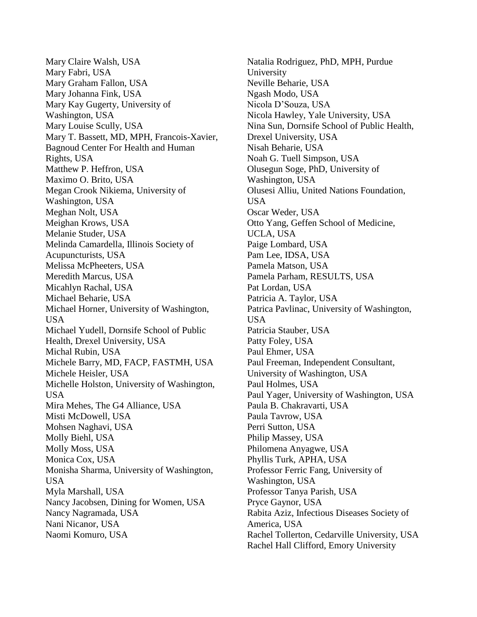Mary Claire Walsh, USA Mary Fabri, USA Mary Graham Fallon, USA Mary Johanna Fink, USA Mary Kay Gugerty, University of Washington, USA Mary Louise Scully, USA Mary T. Bassett, MD, MPH, Francois-Xavier, Bagnoud Center For Health and Human Rights, USA Matthew P. Heffron, USA Maximo O. Brito, USA Megan Crook Nikiema, University of Washington, USA Meghan Nolt, USA Meighan Krows, USA Melanie Studer, USA Melinda Camardella, Illinois Society of Acupuncturists, USA Melissa McPheeters, USA Meredith Marcus, USA Micahlyn Rachal, USA Michael Beharie, USA Michael Horner, University of Washington, USA Michael Yudell, Dornsife School of Public Health, Drexel University, USA Michal Rubin, USA Michele Barry, MD, FACP, FASTMH, USA Michele Heisler, USA Michelle Holston, University of Washington, USA Mira Mehes, The G4 Alliance, USA Misti McDowell, USA Mohsen Naghavi, USA Molly Biehl, USA Molly Moss, USA Monica Cox, USA Monisha Sharma, University of Washington, USA Myla Marshall, USA Nancy Jacobsen, Dining for Women, USA Nancy Nagramada, USA Nani Nicanor, USA Naomi Komuro, USA

Natalia Rodriguez, PhD, MPH, Purdue University Neville Beharie, USA Ngash Modo, USA Nicola D'Souza, USA Nicola Hawley, Yale University, USA Nina Sun, Dornsife School of Public Health, Drexel University, USA Nisah Beharie, USA Noah G. Tuell Simpson, USA Olusegun Soge, PhD, University of Washington, USA Olusesi Alliu, United Nations Foundation, USA Oscar Weder, USA Otto Yang, Geffen School of Medicine, UCLA, USA Paige Lombard, USA Pam Lee, IDSA, USA Pamela Matson, USA Pamela Parham, RESULTS, USA Pat Lordan, USA Patricia A. Taylor, USA Patrica Pavlinac, University of Washington, USA Patricia Stauber, USA Patty Foley, USA Paul Ehmer, USA Paul Freeman, Independent Consultant, University of Washington, USA Paul Holmes, USA Paul Yager, University of Washington, USA Paula B. Chakravarti, USA Paula Tavrow, USA Perri Sutton, USA Philip Massey, USA Philomena Anyagwe, USA Phyllis Turk, APHA, USA Professor Ferric Fang, University of Washington, USA Professor Tanya Parish, USA Pryce Gaynor, USA Rabita Aziz, Infectious Diseases Society of America, USA Rachel Tollerton, Cedarville University, USA Rachel Hall Clifford, Emory University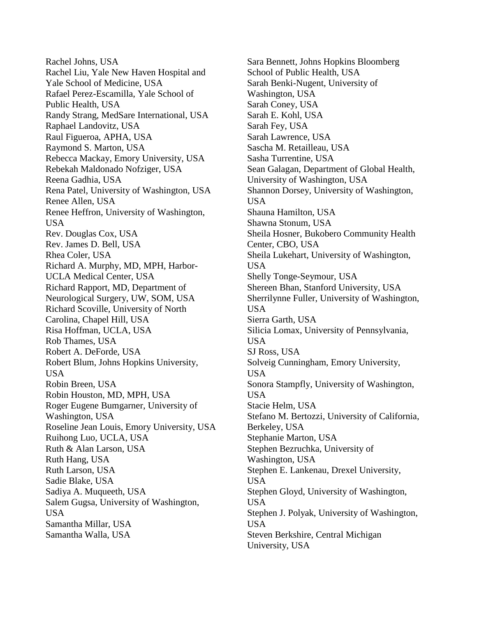Rachel Johns, USA Rachel Liu, Yale New Haven Hospital and Yale School of Medicine, USA Rafael Perez-Escamilla, Yale School of Public Health, USA Randy Strang, MedSare International, USA Raphael Landovitz, USA Raul Figueroa, APHA, USA Raymond S. Marton, USA Rebecca Mackay, Emory University, USA Rebekah Maldonado Nofziger, USA Reena Gadhia, USA Rena Patel, University of Washington, USA Renee Allen, USA Renee Heffron, University of Washington, USA Rev. Douglas Cox, USA Rev. James D. Bell, USA Rhea Coler, USA Richard A. Murphy, MD, MPH, Harbor-UCLA Medical Center, USA Richard Rapport, MD, Department of Neurological Surgery, UW, SOM, USA Richard Scoville, University of North Carolina, Chapel Hill, USA Risa Hoffman, UCLA, USA Rob Thames, USA Robert A. DeForde, USA Robert Blum, Johns Hopkins University, USA Robin Breen, USA Robin Houston, MD, MPH, USA Roger Eugene Bumgarner, University of Washington, USA Roseline Jean Louis, Emory University, USA Ruihong Luo, UCLA, USA Ruth & Alan Larson, USA Ruth Hang, USA Ruth Larson, USA Sadie Blake, USA Sadiya A. Muqueeth, USA Salem Gugsa, University of Washington, USA Samantha Millar, USA Samantha Walla, USA

Sara Bennett, Johns Hopkins Bloomberg School of Public Health, USA Sarah Benki-Nugent, University of Washington, USA Sarah Coney, USA Sarah E. Kohl, USA Sarah Fey, USA Sarah Lawrence, USA Sascha M. Retailleau, USA Sasha Turrentine, USA Sean Galagan, Department of Global Health, University of Washington, USA Shannon Dorsey, University of Washington, USA Shauna Hamilton, USA Shawna Stonum, USA Sheila Hosner, Bukobero Community Health Center, CBO, USA Sheila Lukehart, University of Washington, USA Shelly Tonge-Seymour, USA Shereen Bhan, Stanford University, USA Sherrilynne Fuller, University of Washington, USA Sierra Garth, USA Silicia Lomax, University of Pennsylvania, USA SJ Ross, USA Solveig Cunningham, Emory University, USA Sonora Stampfly, University of Washington, USA Stacie Helm, USA Stefano M. Bertozzi, University of California, Berkeley, USA Stephanie Marton, USA Stephen Bezruchka, University of Washington, USA Stephen E. Lankenau, Drexel University, USA Stephen Gloyd, University of Washington, USA Stephen J. Polyak, University of Washington, USA Steven Berkshire, Central Michigan University, USA